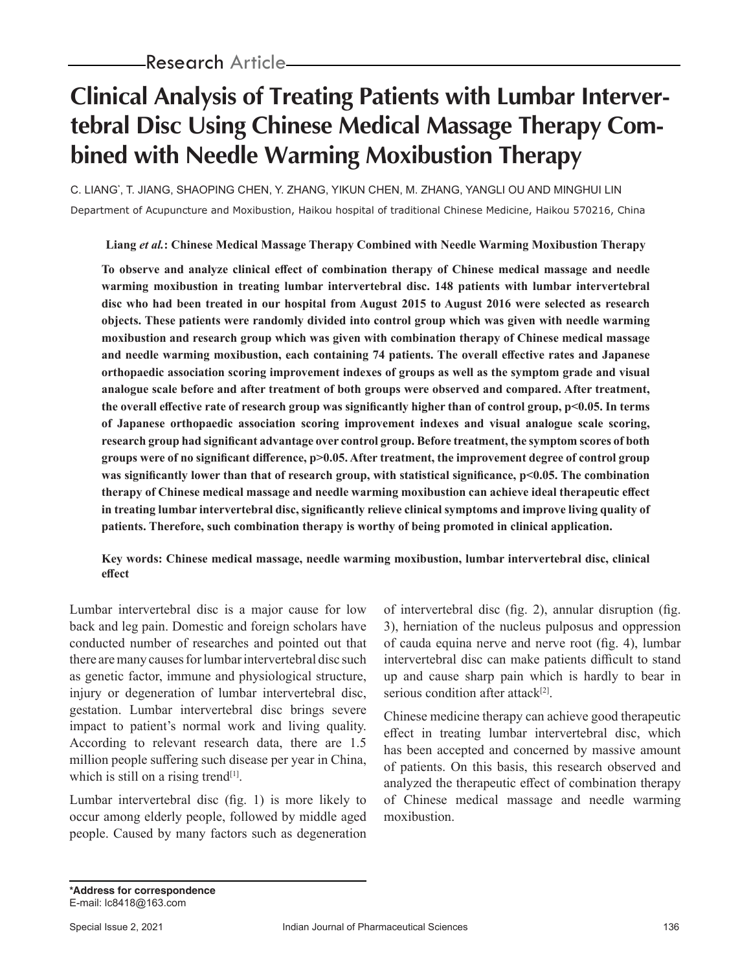# **Clinical Analysis of Treating Patients with Lumbar Intervertebral Disc Using Chinese Medical Massage Therapy Combined with Needle Warming Moxibustion Therapy**

C. LIANG\* , T. JIANG, SHAOPING CHEN, Y. ZHANG, YIKUN CHEN, M. ZHANG, YANGLI OU AND MINGHUI LIN Department of Acupuncture and Moxibustion, Haikou hospital of traditional Chinese Medicine, Haikou 570216, China

**Liang** *et al.***: Chinese Medical Massage Therapy Combined with Needle Warming Moxibustion Therapy**

**To observe and analyze clinical effect of combination therapy of Chinese medical massage and needle warming moxibustion in treating lumbar intervertebral disc. 148 patients with lumbar intervertebral disc who had been treated in our hospital from August 2015 to August 2016 were selected as research objects. These patients were randomly divided into control group which was given with needle warming moxibustion and research group which was given with combination therapy of Chinese medical massage and needle warming moxibustion, each containing 74 patients. The overall effective rates and Japanese orthopaedic association scoring improvement indexes of groups as well as the symptom grade and visual analogue scale before and after treatment of both groups were observed and compared. After treatment, the overall effective rate of research group was significantly higher than of control group, p<0.05. In terms of Japanese orthopaedic association scoring improvement indexes and visual analogue scale scoring, research group had significant advantage over control group. Before treatment, the symptom scores of both groups were of no significant difference, p>0.05. After treatment, the improvement degree of control group**  was significantly lower than that of research group, with statistical significance, p<0.05. The combination **therapy of Chinese medical massage and needle warming moxibustion can achieve ideal therapeutic effect in treating lumbar intervertebral disc, significantly relieve clinical symptoms and improve living quality of patients. Therefore, such combination therapy is worthy of being promoted in clinical application.**

### **Key words: Chinese medical massage, needle warming moxibustion, lumbar intervertebral disc, clinical effect**

Lumbar intervertebral disc is a major cause for low back and leg pain. Domestic and foreign scholars have conducted number of researches and pointed out that there are many causes for lumbar intervertebral disc such as genetic factor, immune and physiological structure, injury or degeneration of lumbar intervertebral disc, gestation. Lumbar intervertebral disc brings severe impact to patient's normal work and living quality. According to relevant research data, there are 1.5 million people suffering such disease per year in China, which is still on a rising trend<sup>[1]</sup>.

Lumbar intervertebral disc (fig. 1) is more likely to occur among elderly people, followed by middle aged people. Caused by many factors such as degeneration of intervertebral disc (fig. 2), annular disruption (fig. 3), herniation of the nucleus pulposus and oppression of cauda equina nerve and nerve root (fig. 4), lumbar intervertebral disc can make patients difficult to stand up and cause sharp pain which is hardly to bear in serious condition after attack $[2]$ .

Chinese medicine therapy can achieve good therapeutic effect in treating lumbar intervertebral disc, which has been accepted and concerned by massive amount of patients. On this basis, this research observed and analyzed the therapeutic effect of combination therapy of Chinese medical massage and needle warming moxibustion.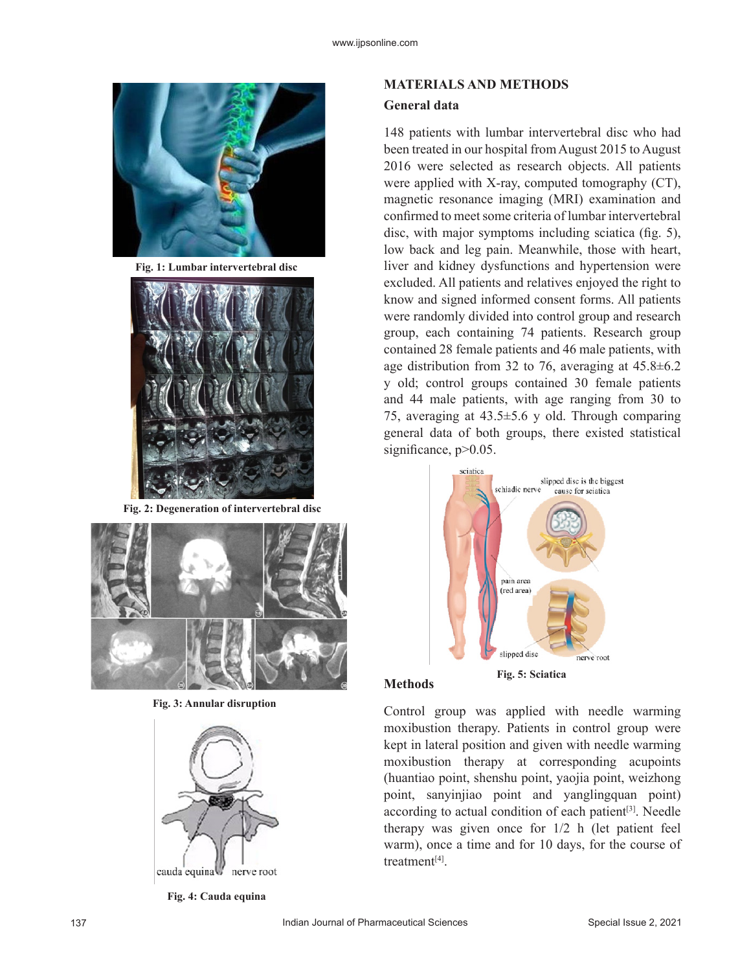

**Fig. 1: Lumbar intervertebral disc**



**Fig. 2: Degeneration of intervertebral disc**



**Fig. 3: Annular disruption**



**Fig. 4: Cauda equina**

## **MATERIALS AND METHODS General data**

148 patients with lumbar intervertebral disc who had been treated in our hospital from August 2015 to August 2016 were selected as research objects. All patients were applied with X-ray, computed tomography (CT), magnetic resonance imaging (MRI) examination and confirmed to meet some criteria of lumbar intervertebral disc, with major symptoms including sciatica (fig. 5), low back and leg pain. Meanwhile, those with heart, liver and kidney dysfunctions and hypertension were excluded. All patients and relatives enjoyed the right to know and signed informed consent forms. All patients were randomly divided into control group and research group, each containing 74 patients. Research group contained 28 female patients and 46 male patients, with age distribution from 32 to 76, averaging at 45.8±6.2 y old; control groups contained 30 female patients and 44 male patients, with age ranging from 30 to 75, averaging at 43.5±5.6 y old. Through comparing general data of both groups, there existed statistical significance,  $p > 0.05$ .



#### **Methods**

Control group was applied with needle warming moxibustion therapy. Patients in control group were kept in lateral position and given with needle warming moxibustion therapy at corresponding acupoints (huantiao point, shenshu point, yaojia point, weizhong point, sanyinjiao point and yanglingquan point) according to actual condition of each patient $[3]$ . Needle therapy was given once for 1/2 h (let patient feel warm), once a time and for 10 days, for the course of treatment[4].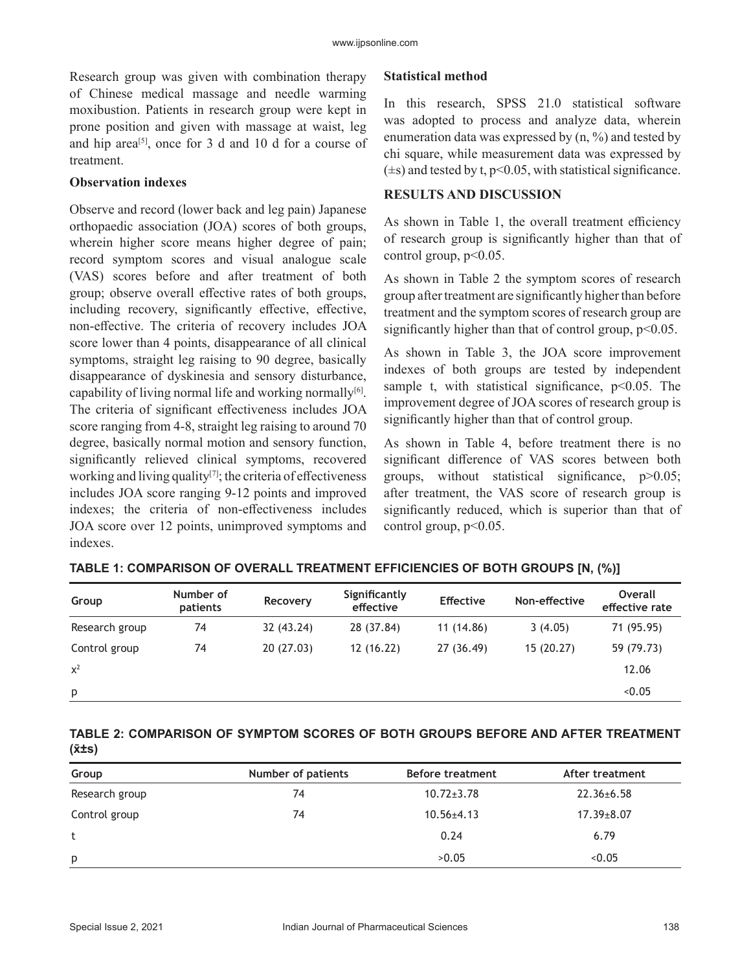Research group was given with combination therapy of Chinese medical massage and needle warming moxibustion. Patients in research group were kept in prone position and given with massage at waist, leg and hip area<sup>[5]</sup>, once for 3 d and 10 d for a course of treatment.

#### **Observation indexes**

Observe and record (lower back and leg pain) Japanese orthopaedic association (JOA) scores of both groups, wherein higher score means higher degree of pain; record symptom scores and visual analogue scale (VAS) scores before and after treatment of both group; observe overall effective rates of both groups, including recovery, significantly effective, effective, non-effective. The criteria of recovery includes JOA score lower than 4 points, disappearance of all clinical symptoms, straight leg raising to 90 degree, basically disappearance of dyskinesia and sensory disturbance, capability of living normal life and working normally $[6]$ . The criteria of significant effectiveness includes JOA score ranging from 4-8, straight leg raising to around 70 degree, basically normal motion and sensory function, significantly relieved clinical symptoms, recovered working and living quality<sup>[7]</sup>; the criteria of effectiveness includes JOA score ranging 9-12 points and improved indexes; the criteria of non-effectiveness includes JOA score over 12 points, unimproved symptoms and indexes.

#### **Statistical method**

In this research, SPSS 21.0 statistical software was adopted to process and analyze data, wherein enumeration data was expressed by  $(n, %)$  and tested by chi square, while measurement data was expressed by  $(\pm s)$  and tested by t, p<0.05, with statistical significance.

#### **RESULTS AND DISCUSSION**

As shown in Table 1, the overall treatment efficiency of research group is significantly higher than that of control group,  $p<0.05$ .

As shown in Table 2 the symptom scores of research group after treatment are significantly higher than before treatment and the symptom scores of research group are significantly higher than that of control group,  $p<0.05$ .

As shown in Table 3, the JOA score improvement indexes of both groups are tested by independent sample t, with statistical significance,  $p<0.05$ . The improvement degree of JOA scores of research group is significantly higher than that of control group.

As shown in Table 4, before treatment there is no significant difference of VAS scores between both groups, without statistical significance, p>0.05; after treatment, the VAS score of research group is significantly reduced, which is superior than that of control group,  $p<0.05$ .

| Group          | Number of<br>patients | Recovery   | Significantly<br>effective | <b>Effective</b> | Non-effective | Overall<br>effective rate |
|----------------|-----------------------|------------|----------------------------|------------------|---------------|---------------------------|
| Research group | 74                    | 32 (43.24) | 28 (37.84)                 | 11 (14.86)       | 3(4.05)       | 71 (95.95)                |
| Control group  | 74                    | 20(27.03)  | 12(16.22)                  | 27 (36.49)       | 15(20.27)     | 59 (79.73)                |
| $x^2$          |                       |            |                            |                  |               | 12.06                     |
| p              |                       |            |                            |                  |               | < 0.05                    |

#### **TABLE 2: COMPARISON OF SYMPTOM SCORES OF BOTH GROUPS BEFORE AND AFTER TREATMENT (x̄±s)**

| Group          | Number of patients | <b>Before treatment</b> | After treatment  |
|----------------|--------------------|-------------------------|------------------|
| Research group | 74                 | $10.72 \pm 3.78$        | $22.36 \pm 6.58$ |
| Control group  | 74                 | $10.56 \pm 4.13$        | $17.39 \pm 8.07$ |
|                |                    | 0.24                    | 6.79             |
| p              |                    | >0.05                   | < 0.05           |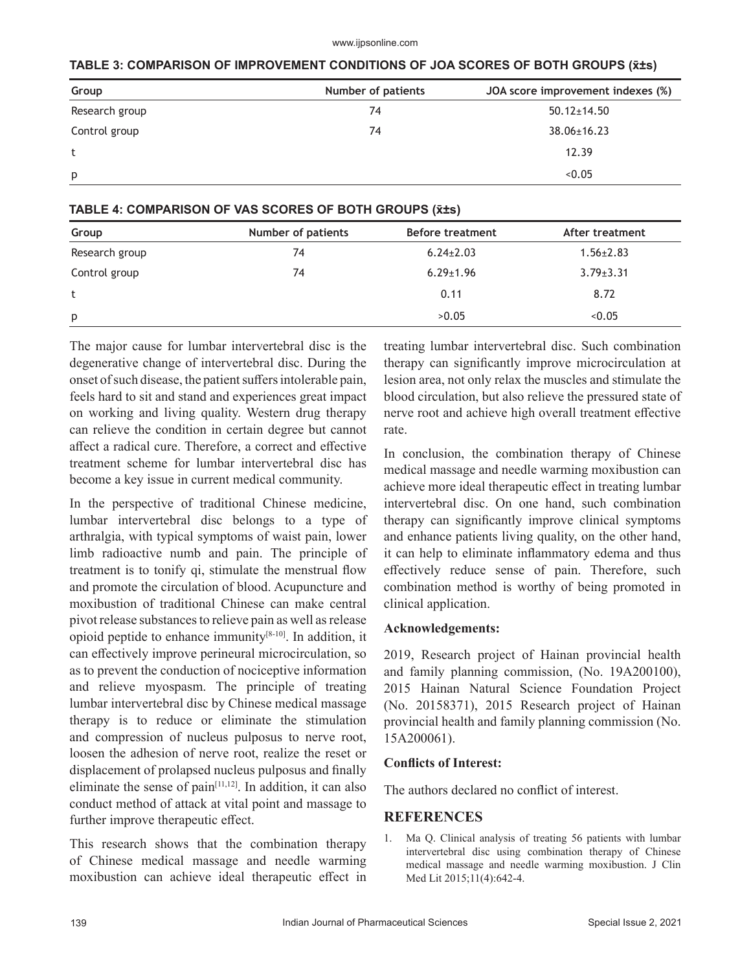#### www.ijpsonline.com

|  | TABLE 3: COMPARISON OF IMPROVEMENT CONDITIONS OF JOA SCORES OF BOTH GROUPS (x̃±s) |
|--|-----------------------------------------------------------------------------------|
|--|-----------------------------------------------------------------------------------|

| Group          | Number of patients | JOA score improvement indexes (%) |
|----------------|--------------------|-----------------------------------|
| Research group | 74                 | $50.12 \pm 14.50$                 |
| Control group  | 74                 | $38.06 \pm 16.23$                 |
| t              |                    | 12.39                             |
| p              |                    | < 0.05                            |

#### **TABLE 4: COMPARISON OF VAS SCORES OF BOTH GROUPS (x̄±s)**

| Group          | Number of patients | <b>Before treatment</b> | After treatment |  |
|----------------|--------------------|-------------------------|-----------------|--|
| Research group | 74                 | $6.24 \pm 2.03$         | $1.56 \pm 2.83$ |  |
| Control group  | 74                 | $6.29 \pm 1.96$         | $3.79 \pm 3.31$ |  |
| t              |                    | 0.11                    | 8.72            |  |
| p              |                    | >0.05                   | < 0.05          |  |

The major cause for lumbar intervertebral disc is the degenerative change of intervertebral disc. During the onset of such disease, the patient suffers intolerable pain, feels hard to sit and stand and experiences great impact on working and living quality. Western drug therapy can relieve the condition in certain degree but cannot affect a radical cure. Therefore, a correct and effective treatment scheme for lumbar intervertebral disc has become a key issue in current medical community.

In the perspective of traditional Chinese medicine, lumbar intervertebral disc belongs to a type of arthralgia, with typical symptoms of waist pain, lower limb radioactive numb and pain. The principle of treatment is to tonify qi, stimulate the menstrual flow and promote the circulation of blood. Acupuncture and moxibustion of traditional Chinese can make central pivot release substances to relieve pain as well as release opioid peptide to enhance immunity $[8-10]$ . In addition, it can effectively improve perineural microcirculation, so as to prevent the conduction of nociceptive information and relieve myospasm. The principle of treating lumbar intervertebral disc by Chinese medical massage therapy is to reduce or eliminate the stimulation and compression of nucleus pulposus to nerve root, loosen the adhesion of nerve root, realize the reset or displacement of prolapsed nucleus pulposus and finally eliminate the sense of pain $[11,12]$ . In addition, it can also conduct method of attack at vital point and massage to further improve therapeutic effect.

This research shows that the combination therapy of Chinese medical massage and needle warming moxibustion can achieve ideal therapeutic effect in treating lumbar intervertebral disc. Such combination therapy can significantly improve microcirculation at lesion area, not only relax the muscles and stimulate the blood circulation, but also relieve the pressured state of nerve root and achieve high overall treatment effective rate.

In conclusion, the combination therapy of Chinese medical massage and needle warming moxibustion can achieve more ideal therapeutic effect in treating lumbar intervertebral disc. On one hand, such combination therapy can significantly improve clinical symptoms and enhance patients living quality, on the other hand, it can help to eliminate inflammatory edema and thus effectively reduce sense of pain. Therefore, such combination method is worthy of being promoted in clinical application.

#### **Acknowledgements:**

2019, Research project of Hainan provincial health and family planning commission, (No. 19A200100), 2015 Hainan Natural Science Foundation Project (No. 20158371), 2015 Research project of Hainan provincial health and family planning commission (No. 15A200061).

#### **Conflicts of Interest:**

The authors declared no conflict of interest.

#### **REFERENCES**

1. Ma Q. Clinical analysis of treating 56 patients with lumbar intervertebral disc using combination therapy of Chinese medical massage and needle warming moxibustion. J Clin Med Lit 2015;11(4):642-4.